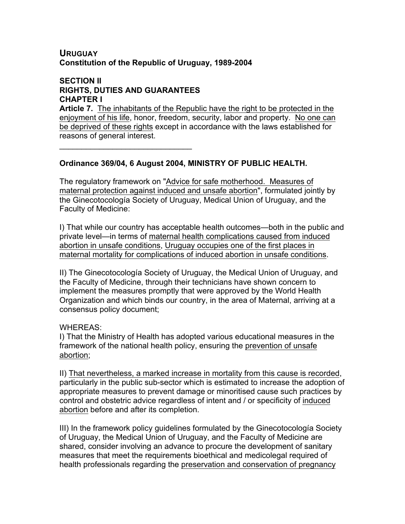### **URUGUAY Constitution of the Republic of Uruguay, 1989-2004**

### **SECTION II RIGHTS, DUTIES AND GUARANTEES CHAPTER I**

 $\mathcal{L}_\text{max}$  and  $\mathcal{L}_\text{max}$  and  $\mathcal{L}_\text{max}$ 

**Article 7.** The inhabitants of the Republic have the right to be protected in the enjoyment of his life, honor, freedom, security, labor and property. No one can be deprived of these rights except in accordance with the laws established for reasons of general interest.

**Ordinance 369/04, 6 August 2004, MINISTRY OF PUBLIC HEALTH.** 

The regulatory framework on "Advice for safe motherhood. Measures of maternal protection against induced and unsafe abortion", formulated jointly by the Ginecotocología Society of Uruguay, Medical Union of Uruguay, and the Faculty of Medicine:

I) That while our country has acceptable health outcomes—both in the public and private level—in terms of maternal health complications caused from induced abortion in unsafe conditions, Uruguay occupies one of the first places in maternal mortality for complications of induced abortion in unsafe conditions.

II) The Ginecotocología Society of Uruguay, the Medical Union of Uruguay, and the Faculty of Medicine, through their technicians have shown concern to implement the measures promptly that were approved by the World Health Organization and which binds our country, in the area of Maternal, arriving at a consensus policy document;

# WHEREAS:

I) That the Ministry of Health has adopted various educational measures in the framework of the national health policy, ensuring the prevention of unsafe abortion;

II) That nevertheless, a marked increase in mortality from this cause is recorded, particularly in the public sub-sector which is estimated to increase the adoption of appropriate measures to prevent damage or minoritised cause such practices by control and obstetric advice regardless of intent and / or specificity of induced abortion before and after its completion.

III) In the framework policy guidelines formulated by the Ginecotocología Society of Uruguay, the Medical Union of Uruguay, and the Faculty of Medicine are shared, consider involving an advance to procure the development of sanitary measures that meet the requirements bioethical and medicolegal required of health professionals regarding the preservation and conservation of pregnancy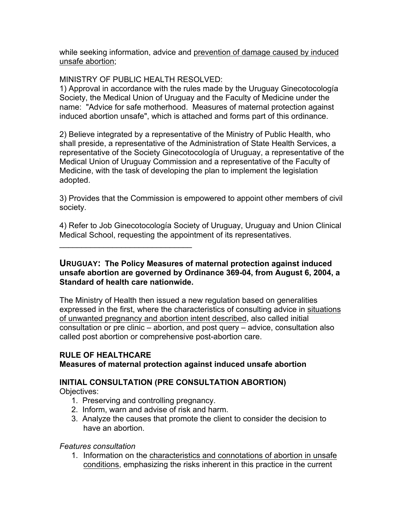while seeking information, advice and prevention of damage caused by induced unsafe abortion;

MINISTRY OF PUBLIC HEALTH RESOLVED:

1) Approval in accordance with the rules made by the Uruguay Ginecotocología Society, the Medical Union of Uruguay and the Faculty of Medicine under the name: "Advice for safe motherhood. Measures of maternal protection against induced abortion unsafe", which is attached and forms part of this ordinance.

2) Believe integrated by a representative of the Ministry of Public Health, who shall preside, a representative of the Administration of State Health Services, a representative of the Society Ginecotocología of Uruguay, a representative of the Medical Union of Uruguay Commission and a representative of the Faculty of Medicine, with the task of developing the plan to implement the legislation adopted.

3) Provides that the Commission is empowered to appoint other members of civil society.

4) Refer to Job Ginecotocología Society of Uruguay, Uruguay and Union Clinical Medical School, requesting the appointment of its representatives.

**URUGUAY: The Policy Measures of maternal protection against induced unsafe abortion are governed by Ordinance 369-04, from August 6, 2004, a Standard of health care nationwide.** 

The Ministry of Health then issued a new regulation based on generalities expressed in the first, where the characteristics of consulting advice in situations of unwanted pregnancy and abortion intent described, also called initial consultation or pre clinic – abortion, and post query – advice, consultation also called post abortion or comprehensive post-abortion care.

# **RULE OF HEALTHCARE**

 $\mathcal{L}_\text{max}$  and  $\mathcal{L}_\text{max}$  and  $\mathcal{L}_\text{max}$ 

### **Measures of maternal protection against induced unsafe abortion**

# **INITIAL CONSULTATION (PRE CONSULTATION ABORTION)**

Objectives:

- 1. Preserving and controlling pregnancy.
- 2. Inform, warn and advise of risk and harm.
- 3. Analyze the causes that promote the client to consider the decision to have an abortion.

*Features consultation* 

1. Information on the characteristics and connotations of abortion in unsafe conditions, emphasizing the risks inherent in this practice in the current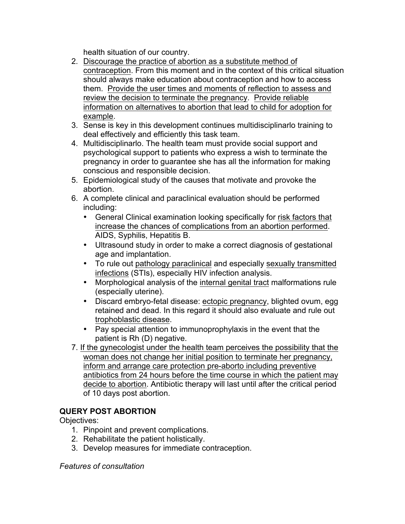health situation of our country.

- 2. Discourage the practice of abortion as a substitute method of contraception. From this moment and in the context of this critical situation should always make education about contraception and how to access them. Provide the user times and moments of reflection to assess and review the decision to terminate the pregnancy. Provide reliable information on alternatives to abortion that lead to child for adoption for example.
- 3. Sense is key in this development continues multidisciplinarlo training to deal effectively and efficiently this task team.
- 4. Multidisciplinarlo. The health team must provide social support and psychological support to patients who express a wish to terminate the pregnancy in order to guarantee she has all the information for making conscious and responsible decision.
- 5. Epidemiological study of the causes that motivate and provoke the abortion.
- 6. A complete clinical and paraclinical evaluation should be performed including:
	- General Clinical examination looking specifically for risk factors that increase the chances of complications from an abortion performed. AIDS, Syphilis, Hepatitis B.
	- Ultrasound study in order to make a correct diagnosis of gestational age and implantation.
	- To rule out pathology paraclinical and especially sexually transmitted infections (STIs), especially HIV infection analysis.
	- Morphological analysis of the internal genital tract malformations rule (especially uterine).
	- Discard embryo-fetal disease: ectopic pregnancy, blighted ovum, egg retained and dead. In this regard it should also evaluate and rule out trophoblastic disease.
	- Pay special attention to immunoprophylaxis in the event that the patient is Rh (D) negative.
- 7. If the gynecologist under the health team perceives the possibility that the woman does not change her initial position to terminate her pregnancy, inform and arrange care protection pre-aborto including preventive antibiotics from 24 hours before the time course in which the patient may decide to abortion. Antibiotic therapy will last until after the critical period of 10 days post abortion.

# **QUERY POST ABORTION**

Objectives:

- 1. Pinpoint and prevent complications.
- 2. Rehabilitate the patient holistically.
- 3. Develop measures for immediate contraception.

*Features of consultation*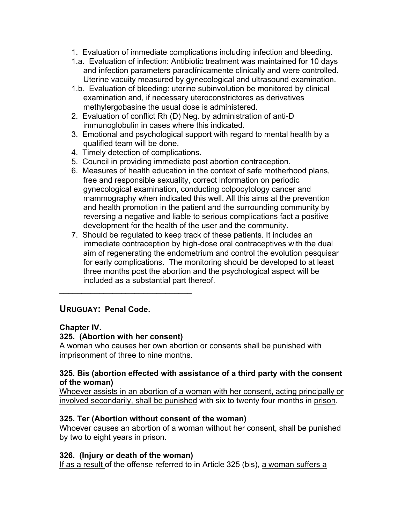- 1. Evaluation of immediate complications including infection and bleeding.
- 1.a. Evaluation of infection: Antibiotic treatment was maintained for 10 days and infection parameters paraclínicamente clinically and were controlled. Uterine vacuity measured by gynecological and ultrasound examination.
- 1.b. Evaluation of bleeding: uterine subinvolution be monitored by clinical examination and, if necessary uteroconstrictores as derivatives methylergobasine the usual dose is administered.
- 2. Evaluation of conflict Rh (D) Neg. by administration of anti-D immunoglobulin in cases where this indicated.
- 3. Emotional and psychological support with regard to mental health by a qualified team will be done.
- 4. Timely detection of complications.
- 5. Council in providing immediate post abortion contraception.
- 6. Measures of health education in the context of safe motherhood plans, free and responsible sexuality, correct information on periodic gynecological examination, conducting colpocytology cancer and mammography when indicated this well. All this aims at the prevention and health promotion in the patient and the surrounding community by reversing a negative and liable to serious complications fact a positive development for the health of the user and the community.
- 7. Should be regulated to keep track of these patients. It includes an immediate contraception by high-dose oral contraceptives with the dual aim of regenerating the endometrium and control the evolution pesquisar for early complications. The monitoring should be developed to at least three months post the abortion and the psychological aspect will be included as a substantial part thereof.

# **URUGUAY: Penal Code.**

# **Chapter IV.**

# **325. (Abortion with her consent)**

 $\mathcal{L}=\{1,2,3,4,5\}$ 

A woman who causes her own abortion or consents shall be punished with imprisonment of three to nine months.

### **325. Bis (abortion effected with assistance of a third party with the consent of the woman)**

Whoever assists in an abortion of a woman with her consent, acting principally or involved secondarily, shall be punished with six to twenty four months in prison.

# **325. Ter (Abortion without consent of the woman)**

Whoever causes an abortion of a woman without her consent, shall be punished by two to eight years in prison.

# **326. (Injury or death of the woman)**

If as a result of the offense referred to in Article 325 (bis), a woman suffers a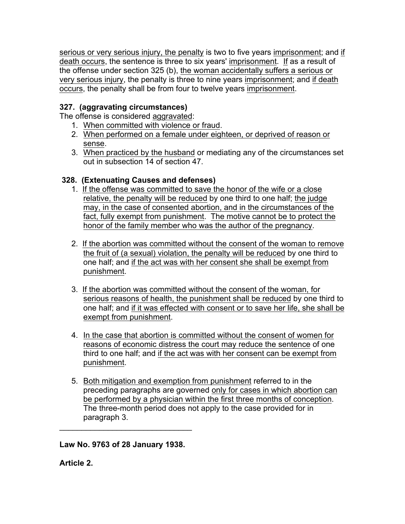serious or very serious injury, the penalty is two to five years imprisonment; and if death occurs, the sentence is three to six years' imprisonment. If as a result of the offense under section 325 (b), the woman accidentally suffers a serious or very serious injury, the penalty is three to nine years imprisonment; and if death occurs, the penalty shall be from four to twelve years imprisonment.

# **327. (aggravating circumstances)**

The offense is considered aggravated:

- 1. When committed with violence or fraud.
- 2. When performed on a female under eighteen, or deprived of reason or sense.
- 3. When practiced by the husband or mediating any of the circumstances set out in subsection 14 of section 47.

# **328. (Extenuating Causes and defenses)**

- 1. If the offense was committed to save the honor of the wife or a close relative, the penalty will be reduced by one third to one half; the judge may, in the case of consented abortion, and in the circumstances of the fact, fully exempt from punishment. The motive cannot be to protect the honor of the family member who was the author of the pregnancy.
- 2. If the abortion was committed without the consent of the woman to remove the fruit of (a sexual) violation, the penalty will be reduced by one third to one half; and if the act was with her consent she shall be exempt from punishment.
- 3. If the abortion was committed without the consent of the woman, for serious reasons of health, the punishment shall be reduced by one third to one half; and if it was effected with consent or to save her life, she shall be exempt from punishment.
- 4. In the case that abortion is committed without the consent of women for reasons of economic distress the court may reduce the sentence of one third to one half; and if the act was with her consent can be exempt from punishment.
- 5. Both mitigation and exemption from punishment referred to in the preceding paragraphs are governed only for cases in which abortion can be performed by a physician within the first three months of conception. The three-month period does not apply to the case provided for in paragraph 3.

**Law No. 9763 of 28 January 1938.**

 $\mathcal{L}_\text{max}$  and  $\mathcal{L}_\text{max}$  and  $\mathcal{L}_\text{max}$ 

**Article 2.**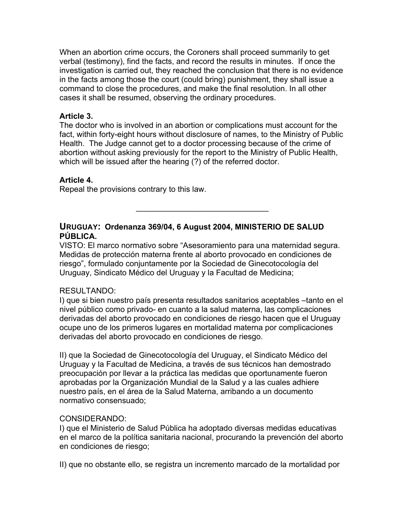When an abortion crime occurs, the Coroners shall proceed summarily to get verbal (testimony), find the facts, and record the results in minutes. If once the investigation is carried out, they reached the conclusion that there is no evidence in the facts among those the court (could bring) punishment, they shall issue a command to close the procedures, and make the final resolution. In all other cases it shall be resumed, observing the ordinary procedures.

### **Article 3.**

The doctor who is involved in an abortion or complications must account for the fact, within forty-eight hours without disclosure of names, to the Ministry of Public Health. The Judge cannot get to a doctor processing because of the crime of abortion without asking previously for the report to the Ministry of Public Health, which will be issued after the hearing (?) of the referred doctor.

### **Article 4.**

Repeal the provisions contrary to this law.

# **URUGUAY: Ordenanza 369/04, 6 August 2004, MINISTERIO DE SALUD PÚBLICA.**

VISTO: El marco normativo sobre "Asesoramiento para una maternidad segura. Medidas de protección materna frente al aborto provocado en condiciones de riesgo", formulado conjuntamente por la Sociedad de Ginecotocología del Uruguay, Sindicato Médico del Uruguay y la Facultad de Medicina;

 $\mathcal{L}_\text{max}$  and  $\mathcal{L}_\text{max}$  and  $\mathcal{L}_\text{max}$ 

### RESULTANDO:

I) que si bien nuestro país presenta resultados sanitarios aceptables –tanto en el nivel público como privado- en cuanto a la salud materna, las complicaciones derivadas del aborto provocado en condiciones de riesgo hacen que el Uruguay ocupe uno de los primeros lugares en mortalidad materna por complicaciones derivadas del aborto provocado en condiciones de riesgo.

II) que la Sociedad de Ginecotocología del Uruguay, el Sindicato Médico del Uruguay y la Facultad de Medicina, a través de sus técnicos han demostrado preocupación por llevar a la práctica las medidas que oportunamente fueron aprobadas por la Organización Mundial de la Salud y a las cuales adhiere nuestro país, en el área de la Salud Materna, arribando a un documento normativo consensuado;

### CONSIDERANDO:

I) que el Ministerio de Salud Pública ha adoptado diversas medidas educativas en el marco de la política sanitaria nacional, procurando la prevención del aborto en condiciones de riesgo;

II) que no obstante ello, se registra un incremento marcado de la mortalidad por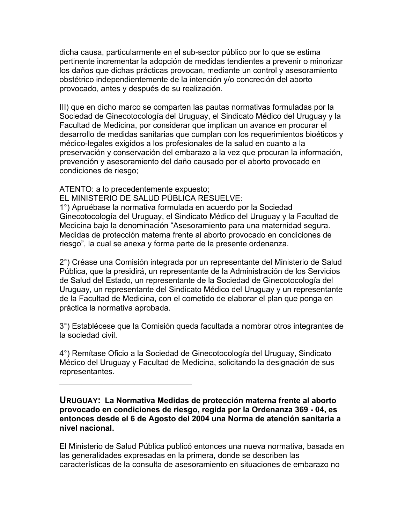dicha causa, particularmente en el sub-sector público por lo que se estima pertinente incrementar la adopción de medidas tendientes a prevenir o minorizar los daños que dichas prácticas provocan, mediante un control y asesoramiento obstétrico independientemente de la intención y/o concreción del aborto provocado, antes y después de su realización.

III) que en dicho marco se comparten las pautas normativas formuladas por la Sociedad de Ginecotocología del Uruguay, el Sindicato Médico del Uruguay y la Facultad de Medicina, por considerar que implican un avance en procurar el desarrollo de medidas sanitarias que cumplan con los requerimientos bioéticos y médico-legales exigidos a los profesionales de la salud en cuanto a la preservación y conservación del embarazo a la vez que procuran la información, prevención y asesoramiento del daño causado por el aborto provocado en condiciones de riesgo;

ATENTO: a lo precedentemente expuesto;

 $\mathcal{L}=\{1,2,3,4,5\}$ 

EL MINISTERIO DE SALUD PÚBLICA RESUELVE:

1°) Apruébase la normativa formulada en acuerdo por la Sociedad Ginecotocología del Uruguay, el Sindicato Médico del Uruguay y la Facultad de Medicina bajo la denominación "Asesoramiento para una maternidad segura. Medidas de protección materna frente al aborto provocado en condiciones de riesgo", la cual se anexa y forma parte de la presente ordenanza.

2°) Créase una Comisión integrada por un representante del Ministerio de Salud Pública, que la presidirá, un representante de la Administración de los Servicios de Salud del Estado, un representante de la Sociedad de Ginecotocología del Uruguay, un representante del Sindicato Médico del Uruguay y un representante de la Facultad de Medicina, con el cometido de elaborar el plan que ponga en práctica la normativa aprobada.

3°) Establécese que la Comisión queda facultada a nombrar otros integrantes de la sociedad civil.

4°) Remítase Oficio a la Sociedad de Ginecotocología del Uruguay, Sindicato Médico del Uruguay y Facultad de Medicina, solicitando la designación de sus representantes.

**URUGUAY: La Normativa Medidas de protección materna frente al aborto provocado en condiciones de riesgo, regida por la Ordenanza 369 - 04, es entonces desde el 6 de Agosto del 2004 una Norma de atención sanitaria a nivel nacional.** 

El Ministerio de Salud Pública publicó entonces una nueva normativa, basada en las generalidades expresadas en la primera, donde se describen las características de la consulta de asesoramiento en situaciones de embarazo no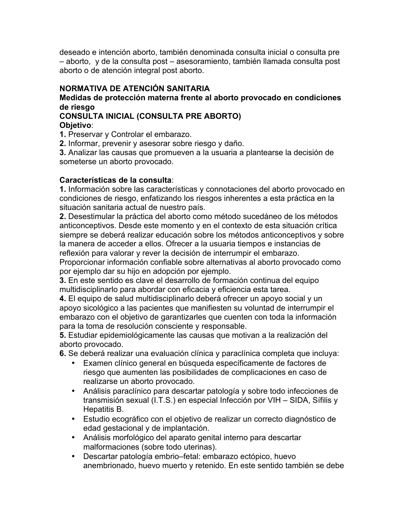deseado e intención aborto, también denominada consulta inicial o consulta pre – aborto, y de la consulta post – asesoramiento, también llamada consulta post aborto o de atención integral post aborto.

# **NORMATIVA DE ATENCIÓN SANITARIA**

# **Medidas de protección materna frente al aborto provocado en condiciones de riesgo**

#### **CONSULTA INICIAL (CONSULTA PRE ABORTO) Objetivo**:

**1.** Preservar y Controlar el embarazo.

**2.** Informar, prevenir y asesorar sobre riesgo y daño.

**3.** Analizar las causas que promueven a la usuaria a plantearse la decisión de someterse un aborto provocado.

# **Características de la consulta**:

**1.** Información sobre las características y connotaciones del aborto provocado en condiciones de riesgo, enfatizando los riesgos inherentes a esta práctica en la situación sanitaria actual de nuestro país.

**2.** Desestimular la práctica del aborto como método sucedáneo de los métodos anticonceptivos. Desde este momento y en el contexto de esta situación crítica siempre se deberá realizar educación sobre los métodos anticonceptivos y sobre la manera de acceder a ellos. Ofrecer a la usuaria tiempos e instancias de reflexión para valorar y rever la decisión de interrumpir el embarazo.

Proporcionar información confiable sobre alternativas al aborto provocado como por ejemplo dar su hijo en adopción por ejemplo.

**3.** En este sentido es clave el desarrollo de formación continua del equipo multidisciplinarlo para abordar con eficacia y eficiencia esta tarea.

**4.** El equipo de salud multidisciplinarlo deberá ofrecer un apoyo social y un apoyo sicológico a las pacientes que manifiesten su voluntad de interrumpir el embarazo con el objetivo de garantizarles que cuenten con toda la información para la toma de resolución consciente y responsable.

**5.** Estudiar epidemiológicamente las causas que motivan a la realización del aborto provocado.

**6.** Se deberá realizar una evaluación clínica y paraclínica completa que incluya:

- Examen clínico general en búsqueda específicamente de factores de riesgo que aumenten las posibilidades de complicaciones en caso de realizarse un aborto provocado.
- Análisis paraclínico para descartar patología y sobre todo infecciones de transmisión sexual (I.T.S.) en especial Infección por VIH – SIDA, Sífilis y Hepatitis B.
- Estudio ecográfico con el objetivo de realizar un correcto diagnóstico de edad gestacional y de implantación.
- Análisis morfológico del aparato genital interno para descartar malformaciones (sobre todo uterinas).
- Descartar patología embrio–fetal: embarazo ectópico, huevo anembrionado, huevo muerto y retenido. En este sentido también se debe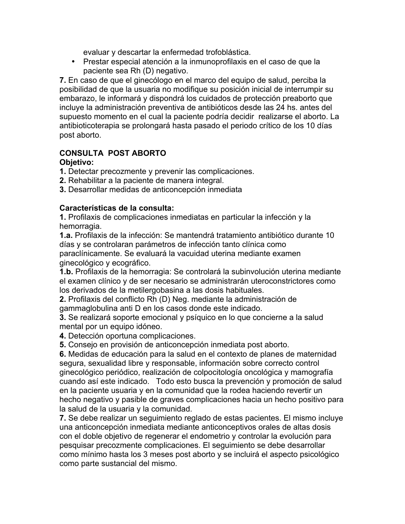evaluar y descartar la enfermedad trofoblástica.

• Prestar especial atención a la inmunoprofilaxis en el caso de que la paciente sea Rh (D) negativo.

**7.** En caso de que el ginecólogo en el marco del equipo de salud, perciba la posibilidad de que la usuaria no modifique su posición inicial de interrumpir su embarazo, le informará y dispondrá los cuidados de protección preaborto que incluye la administración preventiva de antibióticos desde las 24 hs. antes del supuesto momento en el cual la paciente podría decidir realizarse el aborto. La antibioticoterapia se prolongará hasta pasado el periodo crítico de los 10 días post aborto.

# **CONSULTA POST ABORTO**

# **Objetivo:**

- **1.** Detectar precozmente y prevenir las complicaciones.
- **2.** Rehabilitar a la paciente de manera integral.
- **3.** Desarrollar medidas de anticoncepción inmediata

### **Características de la consulta:**

**1.** Profilaxis de complicaciones inmediatas en particular la infección y la hemorragia.

**1.a.** Profilaxis de la infección: Se mantendrá tratamiento antibiótico durante 10 días y se controlaran parámetros de infección tanto clínica como paraclínicamente. Se evaluará la vacuidad uterina mediante examen ginecológico y ecográfico.

**1.b.** Profilaxis de la hemorragia: Se controlará la subinvolución uterina mediante el examen clínico y de ser necesario se administrarán uteroconstrictores como los derivados de la metilergobasina a las dosis habituales.

**2.** Profilaxis del conflicto Rh (D) Neg. mediante la administración de gammaglobulina anti D en los casos donde este indicado.

**3.** Se realizará soporte emocional y psíquico en lo que concierne a la salud mental por un equipo idóneo.

**4.** Detección oportuna complicaciones.

**5.** Consejo en provisión de anticoncepción inmediata post aborto.

**6.** Medidas de educación para la salud en el contexto de planes de maternidad segura, sexualidad libre y responsable, información sobre correcto control ginecológico periódico, realización de colpocitología oncológica y mamografía cuando así este indicado. Todo esto busca la prevención y promoción de salud en la paciente usuaria y en la comunidad que la rodea haciendo revertir un hecho negativo y pasible de graves complicaciones hacia un hecho positivo para la salud de la usuaria y la comunidad.

**7.** Se debe realizar un seguimiento reglado de estas pacientes. El mismo incluye una anticoncepción inmediata mediante anticonceptivos orales de altas dosis con el doble objetivo de regenerar el endometrio y controlar la evolución para pesquisar precozmente complicaciones. El seguimiento se debe desarrollar como mínimo hasta los 3 meses post aborto y se incluirá el aspecto psicológico como parte sustancial del mismo.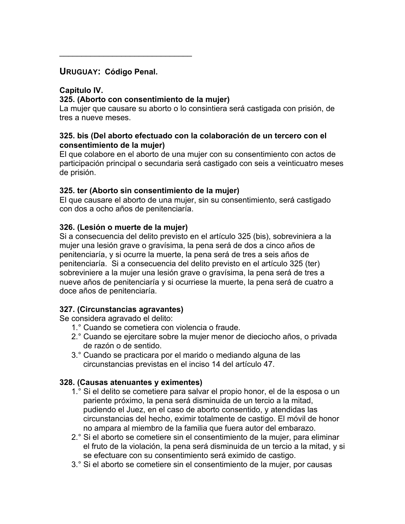# **URUGUAY: Código Penal.**

 $\mathcal{L}=\{1,2,3,4,5\}$ 

# **Capitulo IV.**

# **325. (Aborto con consentimiento de la mujer)**

La mujer que causare su aborto o lo consintiera será castigada con prisión, de tres a nueve meses.

### **325. bis (Del aborto efectuado con la colaboración de un tercero con el consentimiento de la mujer)**

El que colabore en el aborto de una mujer con su consentimiento con actos de participación principal o secundaria será castigado con seis a veinticuatro meses de prisión.

# **325. ter (Aborto sin consentimiento de la mujer)**

El que causare el aborto de una mujer, sin su consentimiento, será castigado con dos a ocho años de penitenciaría.

# **326. (Lesión o muerte de la mujer)**

Si a consecuencia del delito previsto en el artículo 325 (bis), sobreviniera a la mujer una lesión grave o gravísima, la pena será de dos a cinco años de penitenciaría, y si ocurre la muerte, la pena será de tres a seis años de penitenciaría. Si a consecuencia del delito previsto en el artículo 325 (ter) sobreviniere a la mujer una lesión grave o gravísima, la pena será de tres a nueve años de penitenciaría y si ocurriese la muerte, la pena será de cuatro a doce años de penitenciaría.

# **327. (Circunstancias agravantes)**

Se considera agravado el delito:

- 1.° Cuando se cometiera con violencia o fraude.
- 2.° Cuando se ejercitare sobre la mujer menor de dieciocho años, o privada de razón o de sentido.
- 3.° Cuando se practicara por el marido o mediando alguna de las circunstancias previstas en el inciso 14 del artículo 47.

# **328. (Causas atenuantes y eximentes)**

- 1.° Si el delito se cometiere para salvar el propio honor, el de la esposa o un pariente próximo, la pena será disminuida de un tercio a la mitad, pudiendo el Juez, en el caso de aborto consentido, y atendidas las circunstancias del hecho, eximir totalmente de castigo. El móvil de honor no ampara al miembro de la familia que fuera autor del embarazo.
- 2.° Si el aborto se cometiere sin el consentimiento de la mujer, para eliminar el fruto de la violación, la pena será disminuida de un tercio a la mitad, y si se efectuare con su consentimiento será eximido de castigo.
- 3.° Si el aborto se cometiere sin el consentimiento de la mujer, por causas